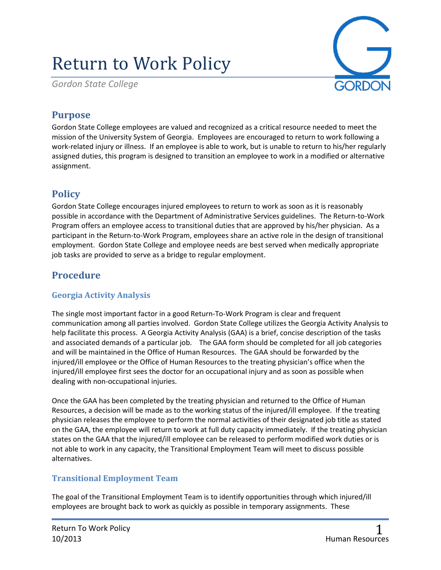# Return to Work Policy

*Gordon State College*



## **Purpose**

Gordon State College employees are valued and recognized as a critical resource needed to meet the mission of the University System of Georgia. Employees are encouraged to return to work following a work-related injury or illness. If an employee is able to work, but is unable to return to his/her regularly assigned duties, this program is designed to transition an employee to work in a modified or alternative assignment.

# **Policy**

Gordon State College encourages injured employees to return to work as soon as it is reasonably possible in accordance with the Department of Administrative Services guidelines. The Return-to-Work Program offers an employee access to transitional duties that are approved by his/her physician. As a participant in the Return-to-Work Program, employees share an active role in the design of transitional employment. Gordon State College and employee needs are best served when medically appropriate job tasks are provided to serve as a bridge to regular employment.

# **Procedure**

#### **Georgia Activity Analysis**

The single most important factor in a good Return-To-Work Program is clear and frequent communication among all parties involved. Gordon State College utilizes the Georgia Activity Analysis to help facilitate this process. A Georgia Activity Analysis (GAA) is a brief, concise description of the tasks and associated demands of a particular job. The GAA form should be completed for all job categories and will be maintained in the Office of Human Resources. The GAA should be forwarded by the injured/ill employee or the Office of Human Resources to the treating physician's office when the injured/ill employee first sees the doctor for an occupational injury and as soon as possible when dealing with non-occupational injuries.

Once the GAA has been completed by the treating physician and returned to the Office of Human Resources, a decision will be made as to the working status of the injured/ill employee. If the treating physician releases the employee to perform the normal activities of their designated job title as stated on the GAA, the employee will return to work at full duty capacity immediately. If the treating physician states on the GAA that the injured/ill employee can be released to perform modified work duties or is not able to work in any capacity, the Transitional Employment Team will meet to discuss possible alternatives.

#### **Transitional Employment Team**

The goal of the Transitional Employment Team is to identify opportunities through which injured/ill employees are brought back to work as quickly as possible in temporary assignments. These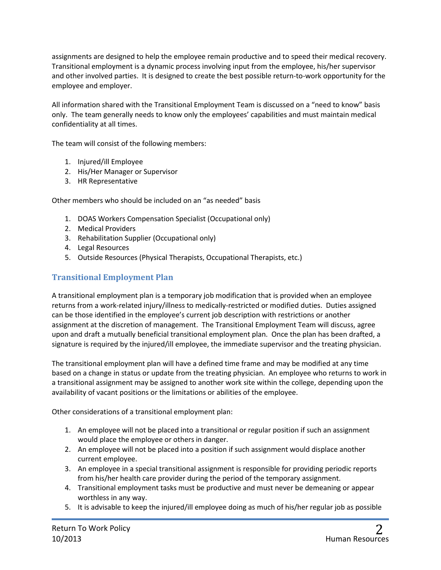assignments are designed to help the employee remain productive and to speed their medical recovery. Transitional employment is a dynamic process involving input from the employee, his/her supervisor and other involved parties. It is designed to create the best possible return-to-work opportunity for the employee and employer.

All information shared with the Transitional Employment Team is discussed on a "need to know" basis only. The team generally needs to know only the employees' capabilities and must maintain medical confidentiality at all times.

The team will consist of the following members:

- 1. Injured/ill Employee
- 2. His/Her Manager or Supervisor
- 3. HR Representative

Other members who should be included on an "as needed" basis

- 1. DOAS Workers Compensation Specialist (Occupational only)
- 2. Medical Providers
- 3. Rehabilitation Supplier (Occupational only)
- 4. Legal Resources
- 5. Outside Resources (Physical Therapists, Occupational Therapists, etc.)

#### **Transitional Employment Plan**

A transitional employment plan is a temporary job modification that is provided when an employee returns from a work-related injury/illness to medically-restricted or modified duties. Duties assigned can be those identified in the employee's current job description with restrictions or another assignment at the discretion of management. The Transitional Employment Team will discuss, agree upon and draft a mutually beneficial transitional employment plan. Once the plan has been drafted, a signature is required by the injured/ill employee, the immediate supervisor and the treating physician.

The transitional employment plan will have a defined time frame and may be modified at any time based on a change in status or update from the treating physician. An employee who returns to work in a transitional assignment may be assigned to another work site within the college, depending upon the availability of vacant positions or the limitations or abilities of the employee.

Other considerations of a transitional employment plan:

- 1. An employee will not be placed into a transitional or regular position if such an assignment would place the employee or others in danger.
- 2. An employee will not be placed into a position if such assignment would displace another current employee.
- 3. An employee in a special transitional assignment is responsible for providing periodic reports from his/her health care provider during the period of the temporary assignment.
- 4. Transitional employment tasks must be productive and must never be demeaning or appear worthless in any way.
- 5. It is advisable to keep the injured/ill employee doing as much of his/her regular job as possible